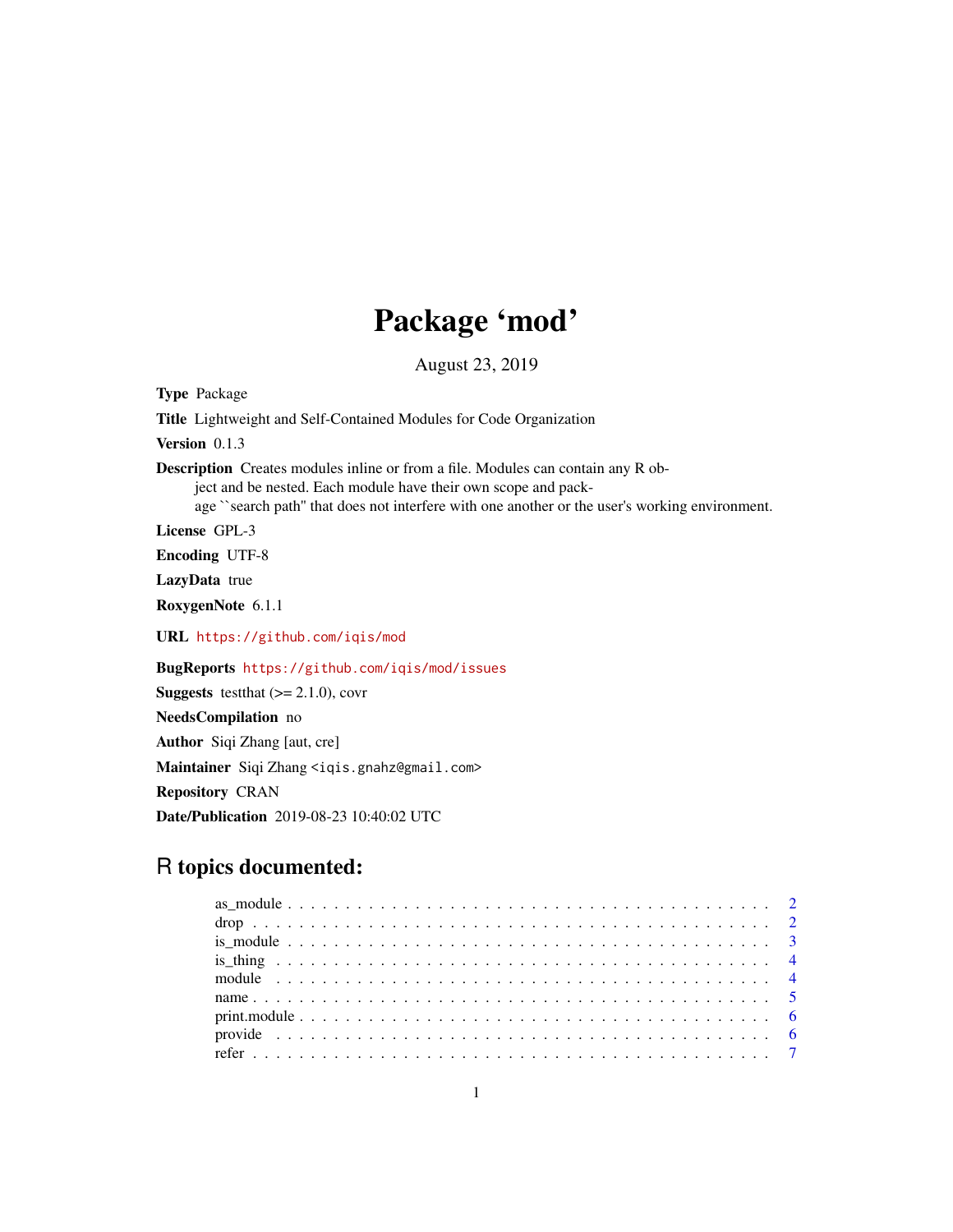# Package 'mod'

August 23, 2019

Type Package Title Lightweight and Self-Contained Modules for Code Organization Version 0.1.3 Description Creates modules inline or from a file. Modules can contain any R object and be nested. Each module have their own scope and package ``search path'' that does not interfere with one another or the user's working environment. License GPL-3 Encoding UTF-8 LazyData true RoxygenNote 6.1.1 URL <https://github.com/iqis/mod> BugReports <https://github.com/iqis/mod/issues> **Suggests** testthat  $(>= 2.1.0)$ , covr NeedsCompilation no Author Siqi Zhang [aut, cre] Maintainer Siqi Zhang <iqis.gnahz@gmail.com> Repository CRAN Date/Publication 2019-08-23 10:40:02 UTC

## R topics documented: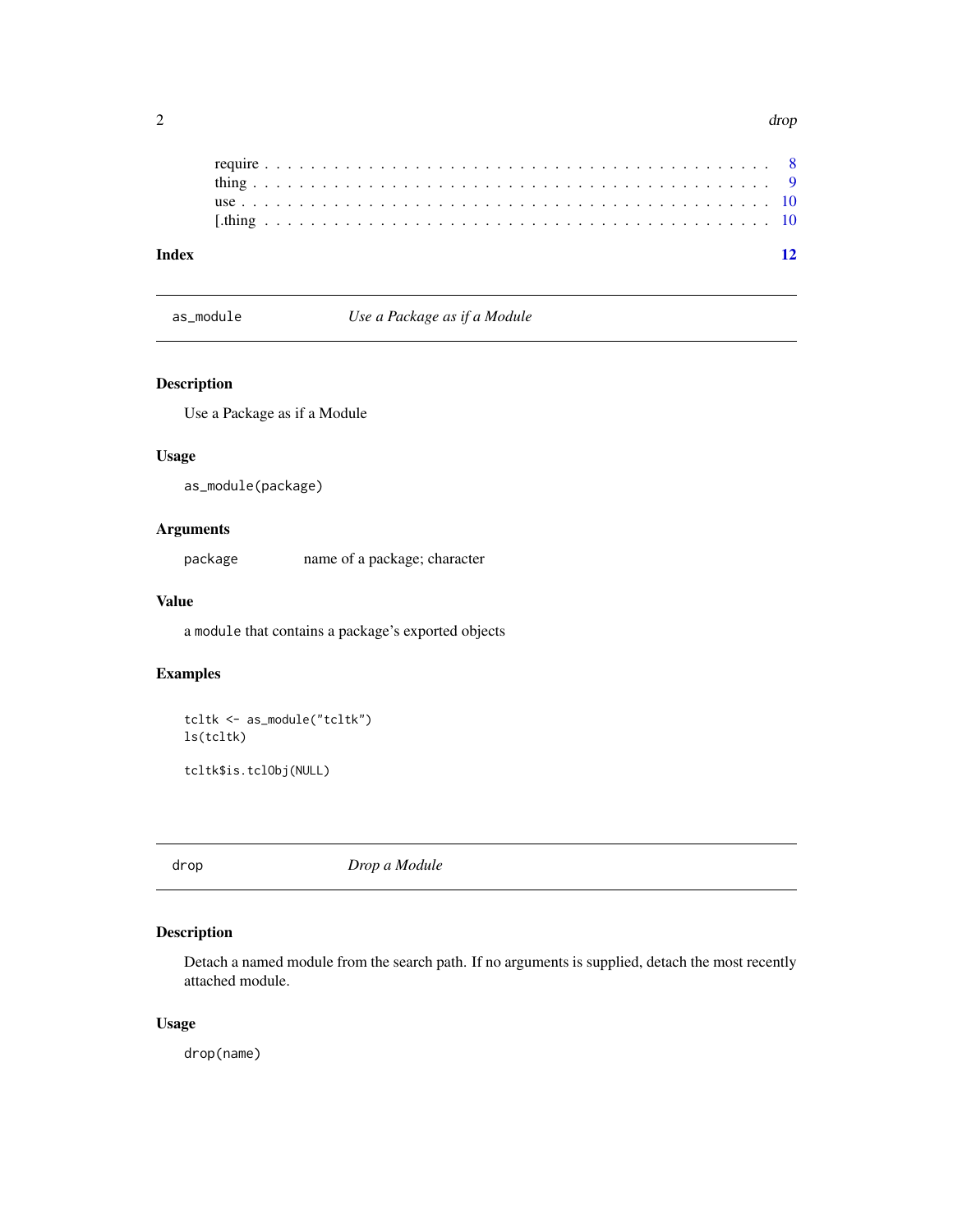<span id="page-1-0"></span>

as\_module *Use a Package as if a Module*

#### Description

Use a Package as if a Module

#### Usage

as\_module(package)

#### Arguments

package name of a package; character

#### Value

a module that contains a package's exported objects

#### Examples

```
tcltk <- as_module("tcltk")
ls(tcltk)
```
tcltk\$is.tclObj(NULL)

drop *Drop a Module*

#### Description

Detach a named module from the search path. If no arguments is supplied, detach the most recently attached module.

#### Usage

drop(name)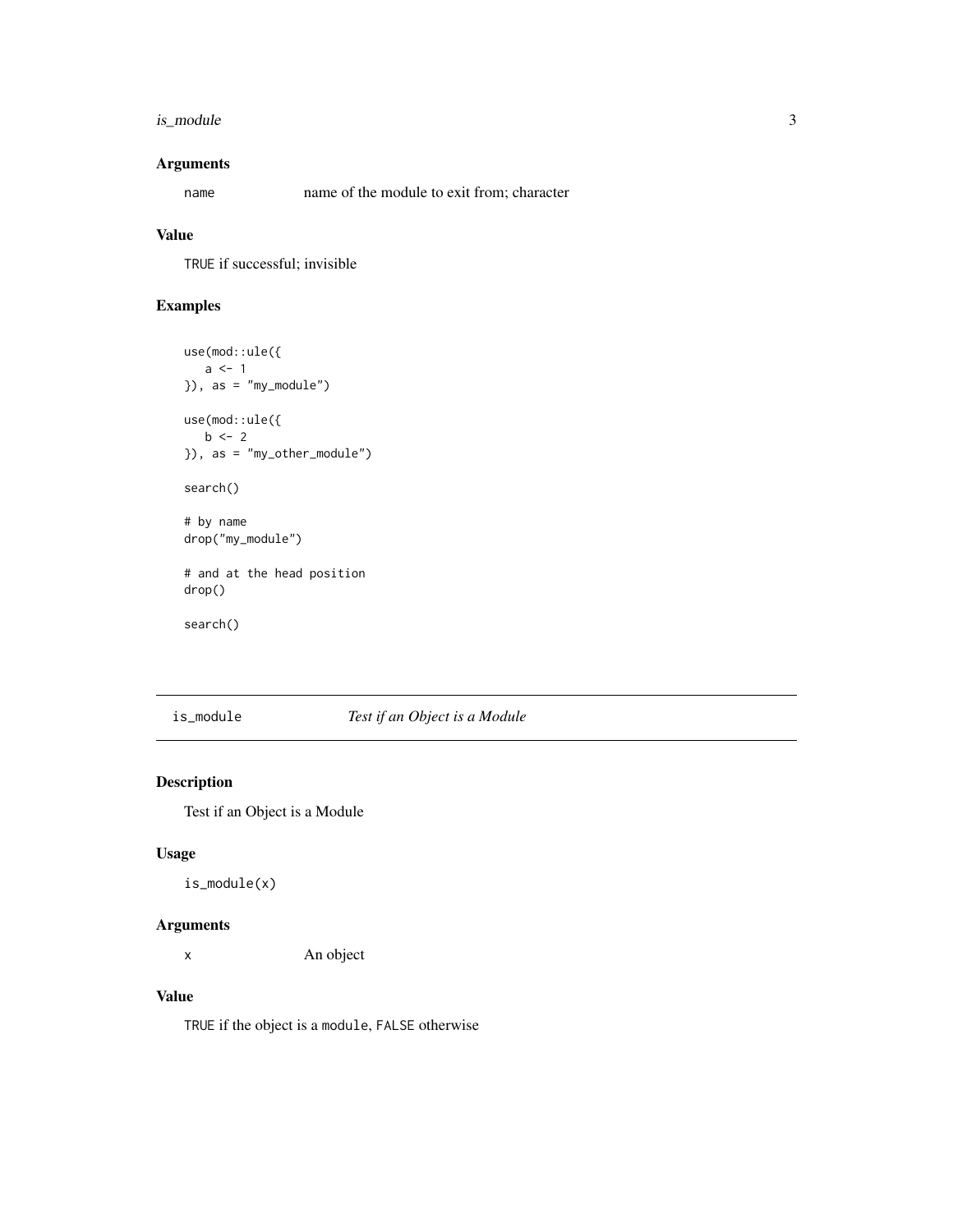#### <span id="page-2-0"></span>is\_module 3

#### Arguments

name name of the module to exit from; character

#### Value

TRUE if successful; invisible

#### Examples

```
use(mod::ule({
   a \leftarrow 1}), as = "my_module")
use(mod::ule({
   b \le -2}), as = "my_other_module")
search()
# by name
drop("my_module")
# and at the head position
drop()
search()
```
is\_module *Test if an Object is a Module*

#### Description

Test if an Object is a Module

#### Usage

is\_module(x)

#### Arguments

x An object

#### Value

TRUE if the object is a module, FALSE otherwise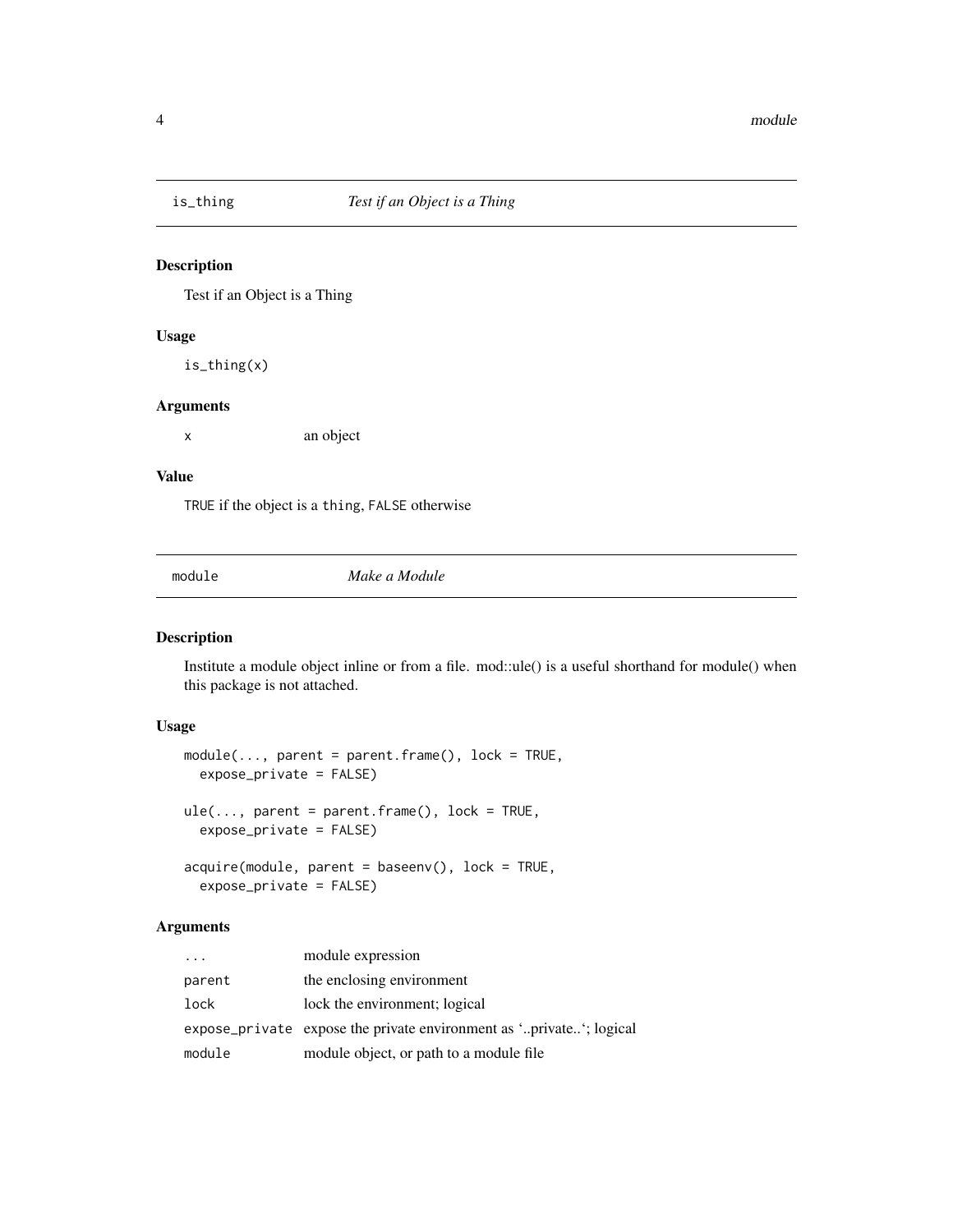<span id="page-3-0"></span>

#### Description

Test if an Object is a Thing

#### Usage

is\_thing(x)

#### Arguments

x an object

#### Value

TRUE if the object is a thing, FALSE otherwise

module *Make a Module*

#### Description

Institute a module object inline or from a file. mod::ule() is a useful shorthand for module() when this package is not attached.

#### Usage

```
module(..., parent = parent.find(), lock = TRUE,expose_private = FALSE)
ule(..., parent = parent-frame(), lock = TRUE,expose_private = FALSE)
acquire(module, parent = baseenv(), lock = TRUE,
  expose_private = FALSE)
```
#### Arguments

| $\cdot$ | module expression                                                   |
|---------|---------------------------------------------------------------------|
| parent  | the enclosing environment                                           |
| lock    | lock the environment; logical                                       |
|         | expose_private expose the private environment as 'private'; logical |
| module  | module object, or path to a module file                             |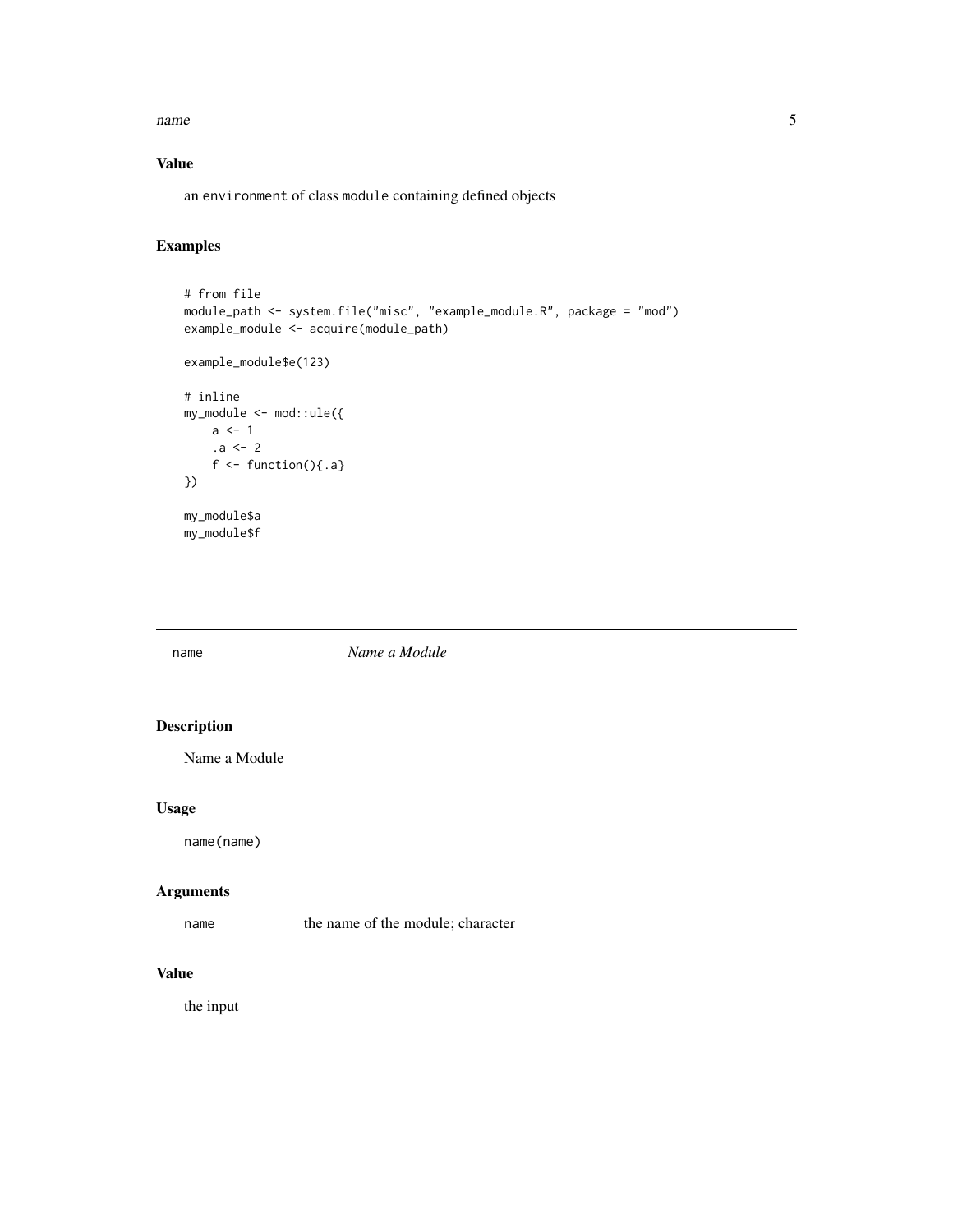<span id="page-4-0"></span>name 5

#### Value

an environment of class module containing defined objects

#### Examples

```
# from file
module_path <- system.file("misc", "example_module.R", package = "mod")
example_module <- acquire(module_path)
example_module$e(123)
# inline
my_model \leftarrow mod::ule({a \leftarrow 1.a < - 2f \leftarrow function(){.a}
})
my_module$a
my_module$f
```
name *Name a Module*

#### Description

Name a Module

#### Usage

name(name)

#### Arguments

name the name of the module; character

#### Value

the input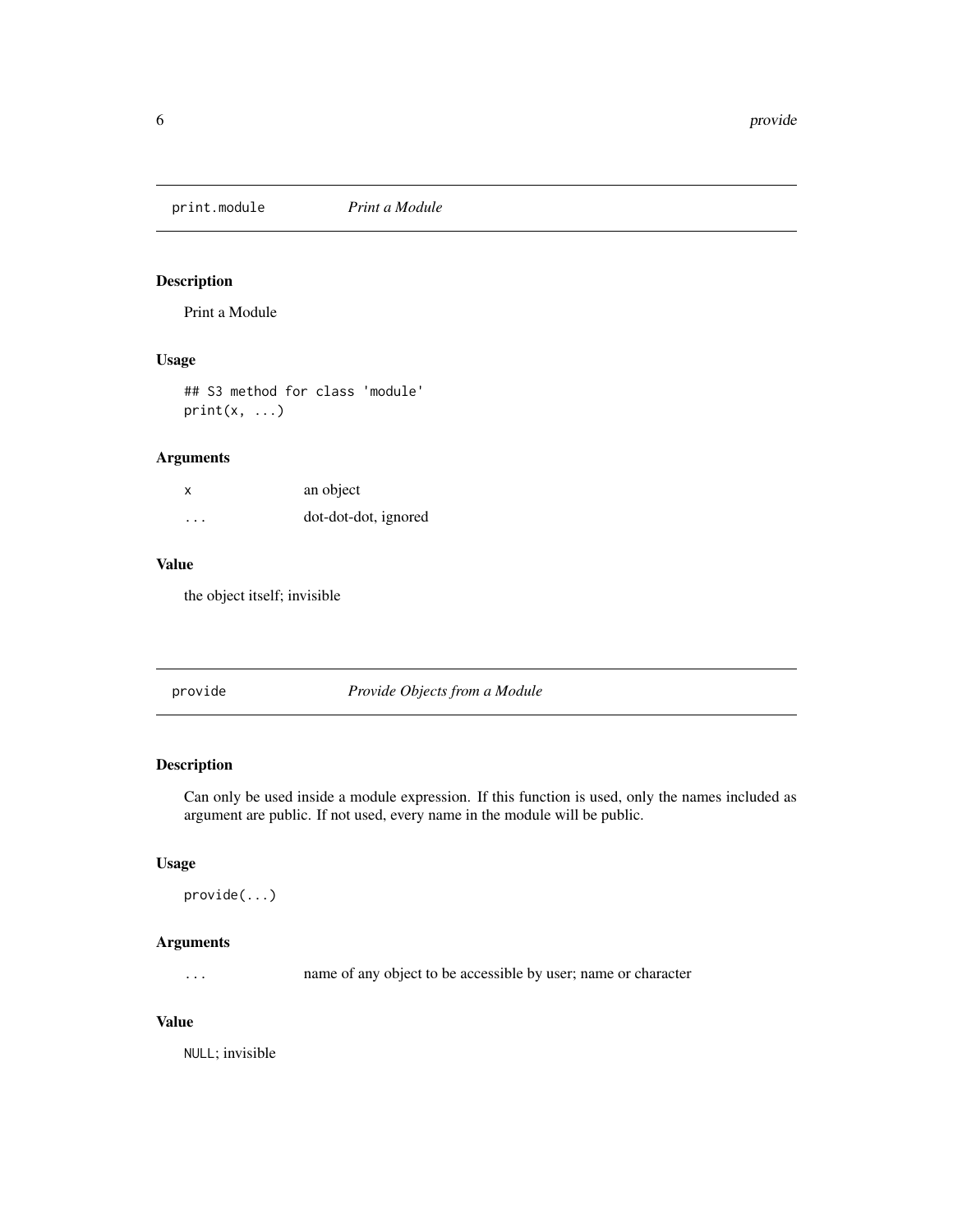<span id="page-5-0"></span>print.module *Print a Module*

#### Description

Print a Module

#### Usage

## S3 method for class 'module'  $print(x, \ldots)$ 

#### Arguments

| X        | an object            |
|----------|----------------------|
| $\cdots$ | dot-dot-dot, ignored |

#### Value

the object itself; invisible

provide *Provide Objects from a Module*

#### Description

Can only be used inside a module expression. If this function is used, only the names included as argument are public. If not used, every name in the module will be public.

#### Usage

```
provide(...)
```
#### Arguments

... name of any object to be accessible by user; name or character

#### Value

NULL; invisible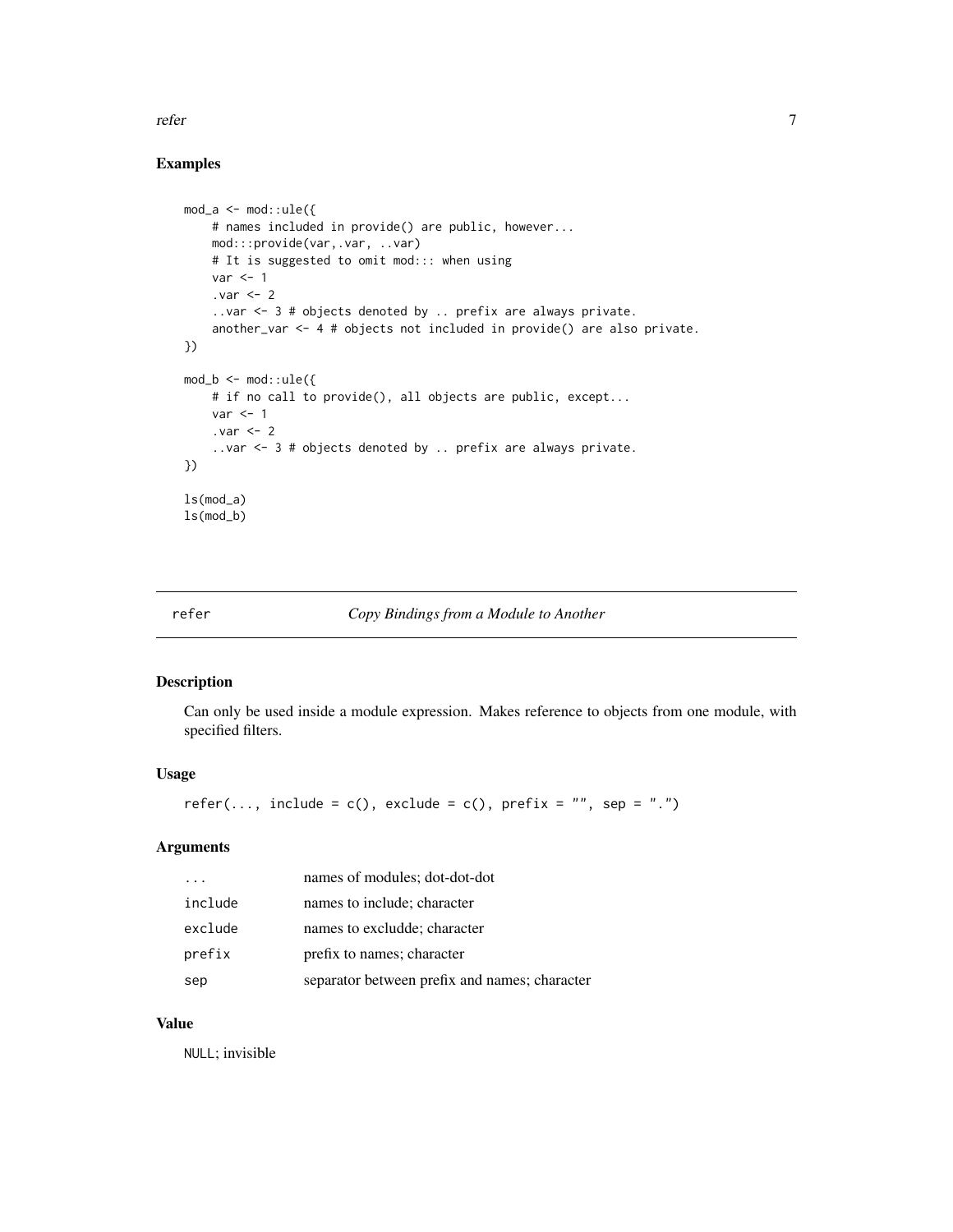<span id="page-6-0"></span>refer that the contract of the contract of the contract of the contract of the contract of the contract of the contract of the contract of the contract of the contract of the contract of the contract of the contract of the

#### Examples

```
mod_a \leq -mod: :ule(f)# names included in provide() are public, however...
   mod:::provide(var,.var, ..var)
   # It is suggested to omit mod::: when using
   var < -1. var < - 2..var <- 3 # objects denoted by .. prefix are always private.
    another_var <- 4 # objects not included in provide() are also private.
})
mod_b < -mod: : \text{ule}(\{# if no call to provide(), all objects are public, except...
   var < -1.var <- 2
    ..var <- 3 # objects denoted by .. prefix are always private.
})
ls(mod_a)
ls(mod_b)
```
refer *Copy Bindings from a Module to Another*

#### Description

Can only be used inside a module expression. Makes reference to objects from one module, with specified filters.

#### Usage

```
refer(..., include = c(), exclude = c(), prefix = ", sep = ".")
```
#### Arguments

|         | names of modules; dot-dot-dot                 |
|---------|-----------------------------------------------|
| include | names to include; character                   |
| exclude | names to excludde; character                  |
| prefix  | prefix to names; character                    |
| sep     | separator between prefix and names; character |

#### Value

NULL; invisible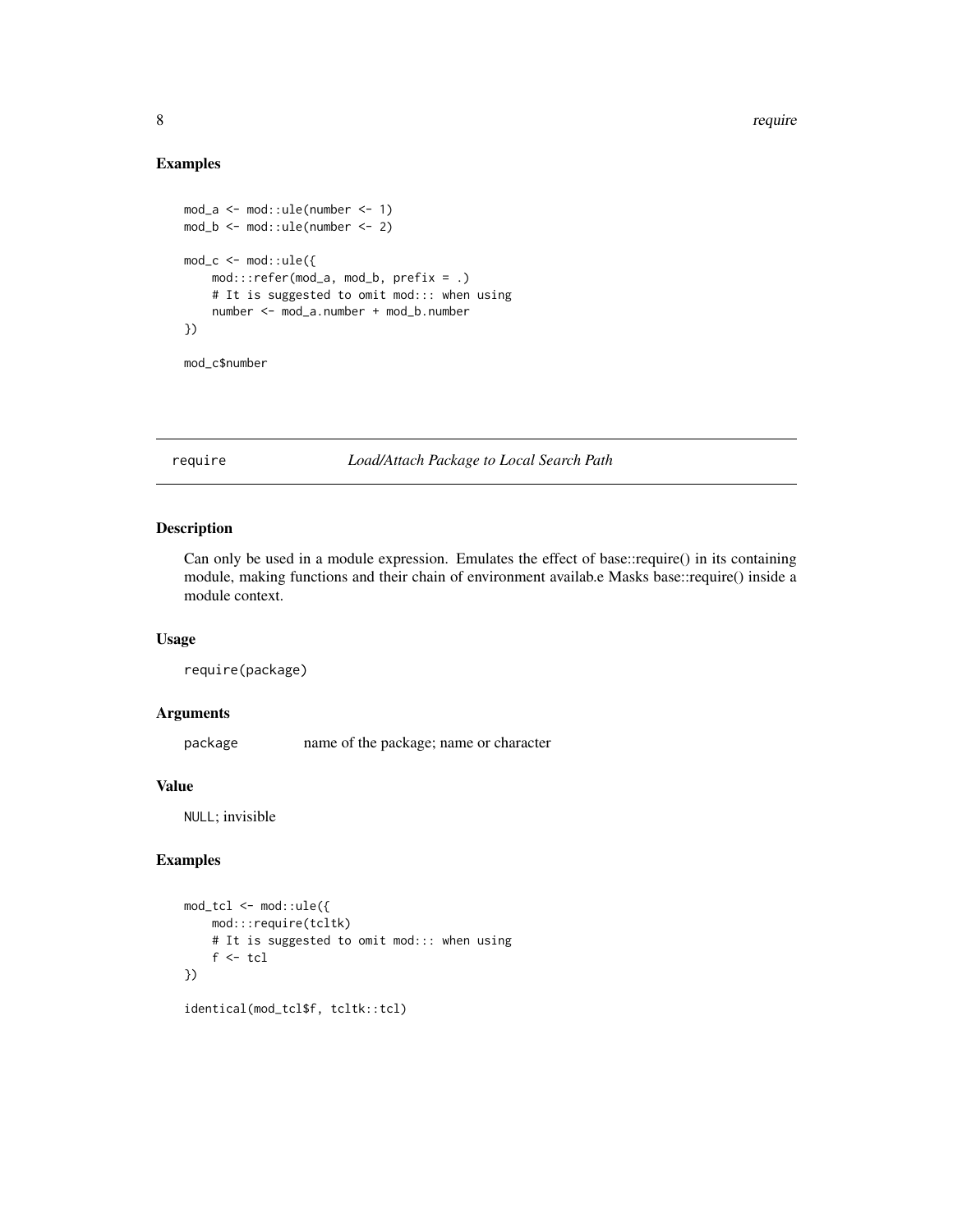#### Examples

```
mod_a \leq -mod: :ule(number \leq -1)mod_b <- mod::ule(number <- 2)
mod_c < -mod: :ule({mod:::refer(mod_a, mod_b, prefix = .)
    # It is suggested to omit mod::: when using
    number <- mod_a.number + mod_b.number
})
```

```
mod_c$number
```
require *Load/Attach Package to Local Search Path*

#### Description

Can only be used in a module expression. Emulates the effect of base::require() in its containing module, making functions and their chain of environment availab.e Masks base::require() inside a module context.

#### Usage

require(package)

#### Arguments

package name of the package; name or character

#### Value

NULL; invisible

#### Examples

```
mod_tcl <- mod::ule({
    mod:::require(tcltk)
    # It is suggested to omit mod::: when using
    f \leftarrow \text{tcl}})
identical(mod_tcl$f, tcltk::tcl)
```
<span id="page-7-0"></span>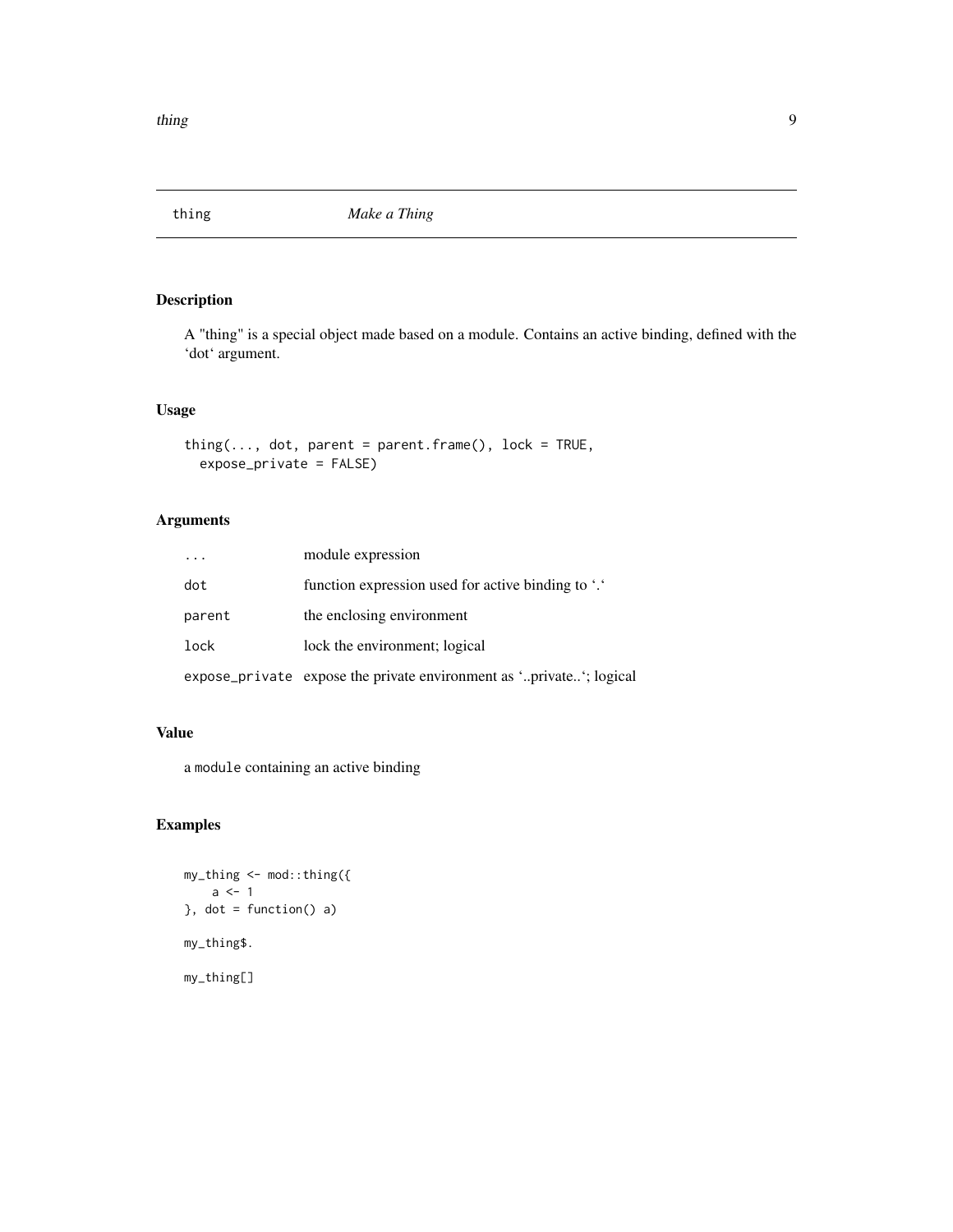<span id="page-8-0"></span>

#### Description

A "thing" is a special object made based on a module. Contains an active binding, defined with the 'dot' argument.

#### Usage

```
thing(\ldots, dot, parent = parent-frame(), lock = TRUE,expose_private = FALSE)
```
#### Arguments

|        | module expression                                                   |
|--------|---------------------------------------------------------------------|
| dot    | function expression used for active binding to "."                  |
| parent | the enclosing environment                                           |
| lock   | lock the environment; logical                                       |
|        | expose_private expose the private environment as 'private'; logical |

#### Value

a module containing an active binding

#### Examples

```
my_thing <- mod::thing({
    a \leftarrow 1}, dot = function() a)
my_thing$.
my_thing[]
```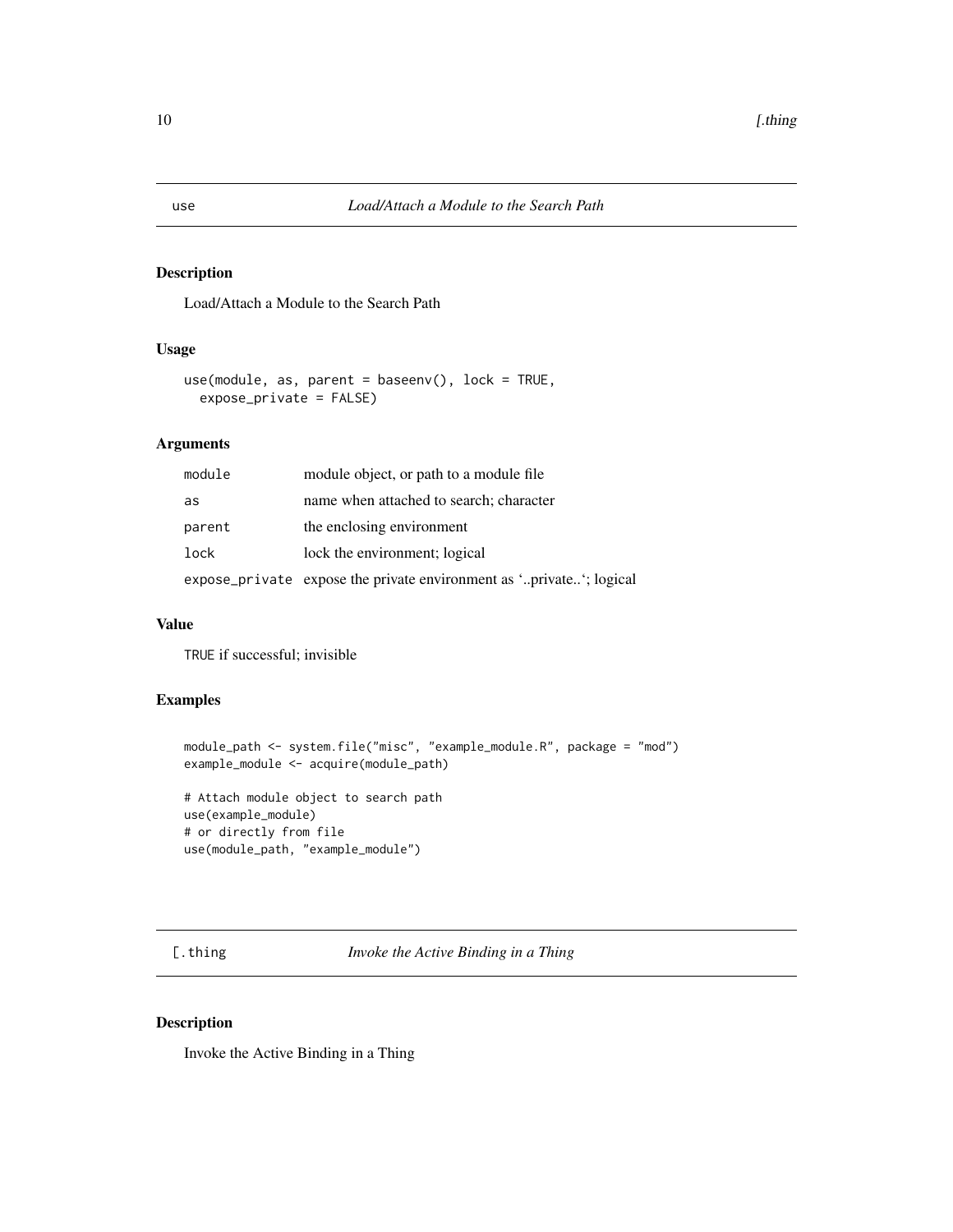#### Description

Load/Attach a Module to the Search Path

#### Usage

```
use(module, as, parent = baseenv(), lock = TRUE,
 expose_private = FALSE)
```
#### Arguments

| module | module object, or path to a module file                             |
|--------|---------------------------------------------------------------------|
| as     | name when attached to search; character                             |
| parent | the enclosing environment                                           |
| lock   | lock the environment; logical                                       |
|        | expose_private expose the private environment as 'private'; logical |

#### Value

TRUE if successful; invisible

#### Examples

```
module_path <- system.file("misc", "example_module.R", package = "mod")
example_module <- acquire(module_path)
```

```
# Attach module object to search path
use(example_module)
# or directly from file
use(module_path, "example_module")
```
[.thing *Invoke the Active Binding in a Thing*

#### Description

Invoke the Active Binding in a Thing

<span id="page-9-0"></span>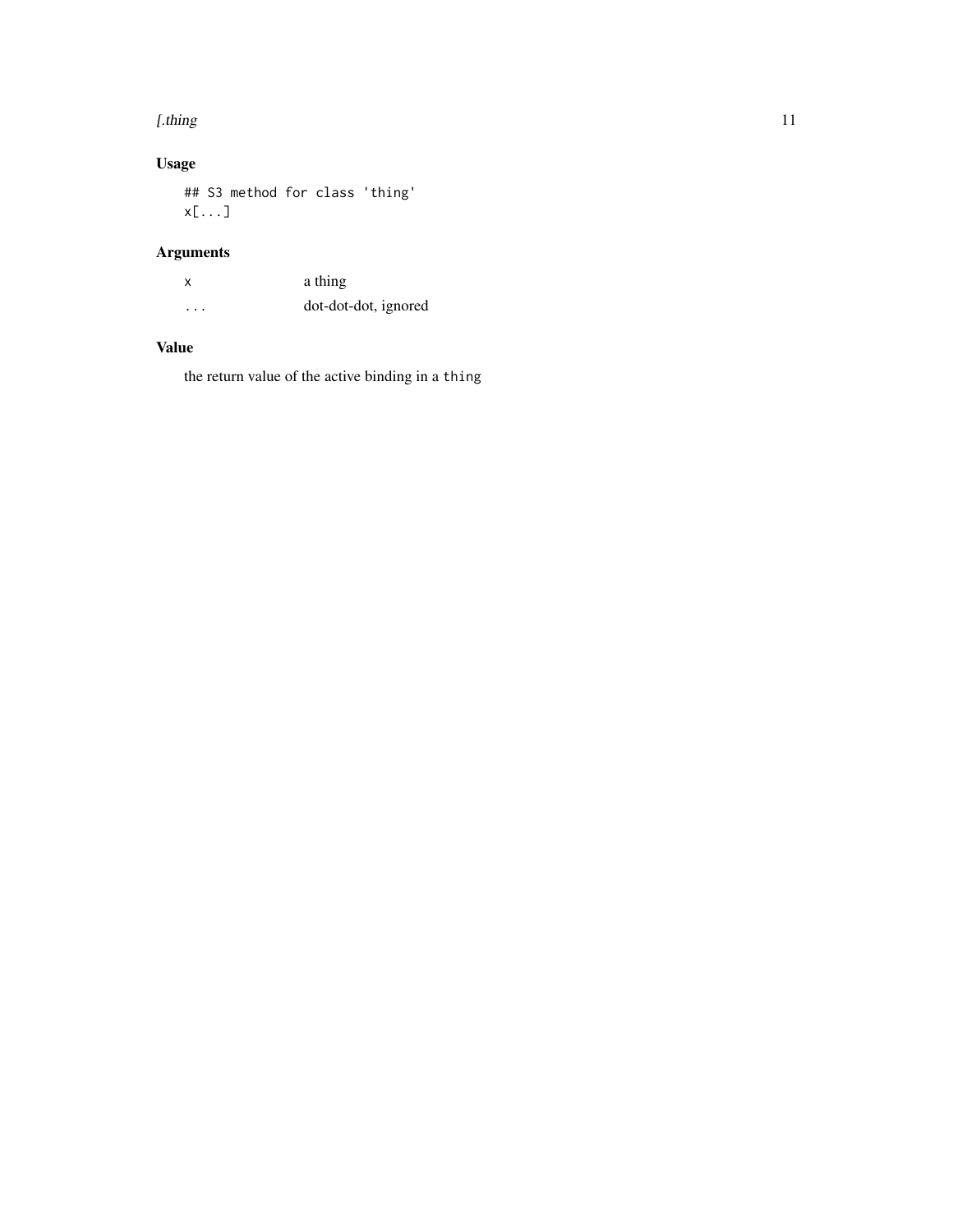#### [.thing  $\qquad \qquad$  11

## Usage

## S3 method for class 'thing' x[...]

### Arguments

x a thing ... dot-dot-dot, ignored

#### Value

the return value of the active binding in a thing